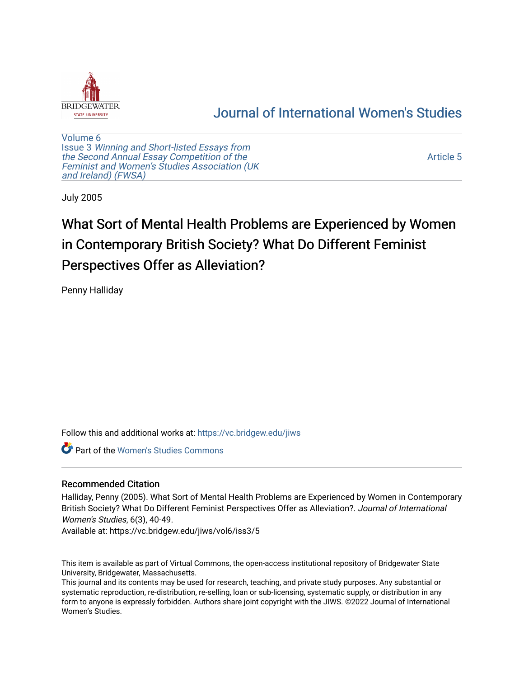

# [Journal of International Women's Studies](https://vc.bridgew.edu/jiws)

[Volume 6](https://vc.bridgew.edu/jiws/vol6) Issue 3 [Winning and Short-listed Essays from](https://vc.bridgew.edu/jiws/vol6/iss3) [the Second Annual Essay Competition of the](https://vc.bridgew.edu/jiws/vol6/iss3)  [Feminist and Women's Studies Association \(UK](https://vc.bridgew.edu/jiws/vol6/iss3) [and Ireland\) \(FWSA\)](https://vc.bridgew.edu/jiws/vol6/iss3) 

[Article 5](https://vc.bridgew.edu/jiws/vol6/iss3/5) 

July 2005

# What Sort of Mental Health Problems are Experienced by Women in Contemporary British Society? What Do Different Feminist Perspectives Offer as Alleviation?

Penny Halliday

Follow this and additional works at: [https://vc.bridgew.edu/jiws](https://vc.bridgew.edu/jiws?utm_source=vc.bridgew.edu%2Fjiws%2Fvol6%2Fiss3%2F5&utm_medium=PDF&utm_campaign=PDFCoverPages)

**C** Part of the Women's Studies Commons

### Recommended Citation

Halliday, Penny (2005). What Sort of Mental Health Problems are Experienced by Women in Contemporary British Society? What Do Different Feminist Perspectives Offer as Alleviation?. Journal of International Women's Studies, 6(3), 40-49.

Available at: https://vc.bridgew.edu/jiws/vol6/iss3/5

This item is available as part of Virtual Commons, the open-access institutional repository of Bridgewater State University, Bridgewater, Massachusetts.

This journal and its contents may be used for research, teaching, and private study purposes. Any substantial or systematic reproduction, re-distribution, re-selling, loan or sub-licensing, systematic supply, or distribution in any form to anyone is expressly forbidden. Authors share joint copyright with the JIWS. ©2022 Journal of International Women's Studies.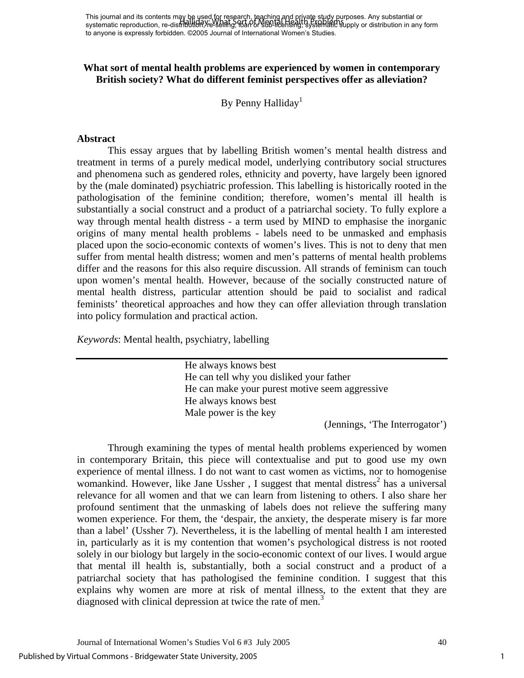This journal and its contents may be used for research, teaching and priγate study purposes. Any substantial or This journal and its concents may all days. What said it, Endemia Health Broad parposes. Any substantial or sub-<br>systematic reproduction, re-distribution, re-selling, 10an or 960-health Singly systematic Supply or distribu to anyone is expressly forbidden. ©2005 Journal of International Women's Studies.

## **What sort of mental health problems are experienced by women in contemporary British society? What do different feminist perspectives offer as alleviation?**

By Penny Halliday<sup>1</sup>

#### **Abstract**

This essay argues that by labelling British women's mental health distress and treatment in terms of a purely medical model, underlying contributory social structures and phenomena such as gendered roles, ethnicity and poverty, have largely been ignored by the (male dominated) psychiatric profession. This labelling is historically rooted in the pathologisation of the feminine condition; therefore, women's mental ill health is substantially a social construct and a product of a patriarchal society. To fully explore a way through mental health distress - a term used by MIND to emphasise the inorganic origins of many mental health problems - labels need to be unmasked and emphasis placed upon the socio-economic contexts of women's lives. This is not to deny that men suffer from mental health distress; women and men's patterns of mental health problems differ and the reasons for this also require discussion. All strands of feminism can touch upon women's mental health. However, because of the socially constructed nature of mental health distress, particular attention should be paid to socialist and radical feminists' theoretical approaches and how they can offer alleviation through translation into policy formulation and practical action.

*Keywords*: Mental health, psychiatry, labelling

He always knows best He can tell why you disliked your father He can make your purest motive seem aggressive He always knows best Male power is the key

(Jennings, 'The Interrogator')

Through examining the types of mental health problems experienced by women in contemporary Britain, this piece will contextualise and put to good use my own experience of mental illness. I do not want to cast women as victims, nor to homogenise womankind. However, like Jane Ussher, I suggest that mental distress<sup>2</sup> has a universal relevance for all women and that we can learn from listening to others. I also share her profound sentiment that the unmasking of labels does not relieve the suffering many women experience. For them, the 'despair, the anxiety, the desperate misery is far more than a label' (Ussher 7). Nevertheless, it is the labelling of mental health I am interested in, particularly as it is my contention that women's psychological distress is not rooted solely in our biology but largely in the socio-economic context of our lives. I would argue that mental ill health is, substantially, both a social construct and a product of a patriarchal society that has pathologised the feminine condition. I suggest that this explains why women are more at risk of mental illness, to the extent that they are diagnosed with clinical depression at twice the rate of men. $3$ 

1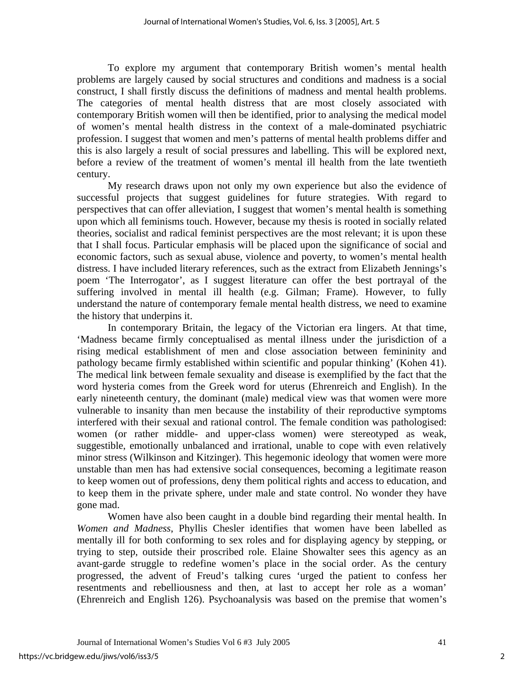To explore my argument that contemporary British women's mental health problems are largely caused by social structures and conditions and madness is a social construct, I shall firstly discuss the definitions of madness and mental health problems. The categories of mental health distress that are most closely associated with contemporary British women will then be identified, prior to analysing the medical model of women's mental health distress in the context of a male-dominated psychiatric profession. I suggest that women and men's patterns of mental health problems differ and this is also largely a result of social pressures and labelling. This will be explored next, before a review of the treatment of women's mental ill health from the late twentieth century.

My research draws upon not only my own experience but also the evidence of successful projects that suggest guidelines for future strategies. With regard to perspectives that can offer alleviation, I suggest that women's mental health is something upon which all feminisms touch. However, because my thesis is rooted in socially related theories, socialist and radical feminist perspectives are the most relevant; it is upon these that I shall focus. Particular emphasis will be placed upon the significance of social and economic factors, such as sexual abuse, violence and poverty, to women's mental health distress. I have included literary references, such as the extract from Elizabeth Jennings's poem 'The Interrogator', as I suggest literature can offer the best portrayal of the suffering involved in mental ill health (e.g. Gilman; Frame). However, to fully understand the nature of contemporary female mental health distress, we need to examine the history that underpins it.

In contemporary Britain, the legacy of the Victorian era lingers. At that time, 'Madness became firmly conceptualised as mental illness under the jurisdiction of a rising medical establishment of men and close association between femininity and pathology became firmly established within scientific and popular thinking' (Kohen 41). The medical link between female sexuality and disease is exemplified by the fact that the word hysteria comes from the Greek word for uterus (Ehrenreich and English). In the early nineteenth century, the dominant (male) medical view was that women were more vulnerable to insanity than men because the instability of their reproductive symptoms interfered with their sexual and rational control. The female condition was pathologised: women (or rather middle- and upper-class women) were stereotyped as weak, suggestible, emotionally unbalanced and irrational, unable to cope with even relatively minor stress (Wilkinson and Kitzinger). This hegemonic ideology that women were more unstable than men has had extensive social consequences, becoming a legitimate reason to keep women out of professions, deny them political rights and access to education, and to keep them in the private sphere, under male and state control. No wonder they have gone mad.

Women have also been caught in a double bind regarding their mental health. In *Women and Madness*, Phyllis Chesler identifies that women have been labelled as mentally ill for both conforming to sex roles and for displaying agency by stepping, or trying to step, outside their proscribed role. Elaine Showalter sees this agency as an avant-garde struggle to redefine women's place in the social order. As the century progressed, the advent of Freud's talking cures 'urged the patient to confess her resentments and rebelliousness and then, at last to accept her role as a woman' (Ehrenreich and English 126). Psychoanalysis was based on the premise that women's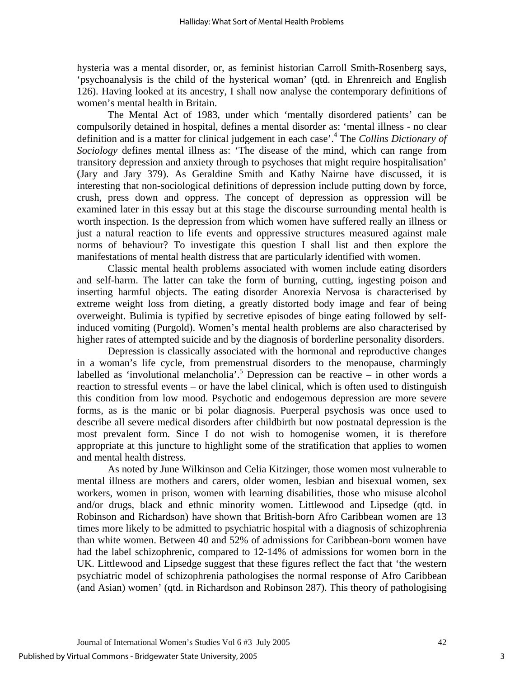hysteria was a mental disorder, or, as feminist historian Carroll Smith-Rosenberg says, 'psychoanalysis is the child of the hysterical woman' (qtd. in Ehrenreich and English 126). Having looked at its ancestry, I shall now analyse the contemporary definitions of women's mental health in Britain.

The Mental Act of 1983, under which 'mentally disordered patients' can be compulsorily detained in hospital, defines a mental disorder as: 'mental illness - no clear definition and is a matter for clinical judgement in each case'[.4](#page-10-3) The *Collins Dictionary of Sociology* defines mental illness as: 'The disease of the mind, which can range from transitory depression and anxiety through to psychoses that might require hospitalisation' (Jary and Jary 379). As Geraldine Smith and Kathy Nairne have discussed, it is interesting that non-sociological definitions of depression include putting down by force, crush, press down and oppress. The concept of depression as oppression will be examined later in this essay but at this stage the discourse surrounding mental health is worth inspection. Is the depression from which women have suffered really an illness or just a natural reaction to life events and oppressive structures measured against male norms of behaviour? To investigate this question I shall list and then explore the manifestations of mental health distress that are particularly identified with women.

Classic mental health problems associated with women include eating disorders and self-harm. The latter can take the form of burning, cutting, ingesting poison and inserting harmful objects. The eating disorder Anorexia Nervosa is characterised by extreme weight loss from dieting, a greatly distorted body image and fear of being overweight. Bulimia is typified by secretive episodes of binge eating followed by selfinduced vomiting (Purgold). Women's mental health problems are also characterised by higher rates of attempted suicide and by the diagnosis of borderline personality disorders.

Depression is classically associated with the hormonal and reproductive changes in a woman's life cycle, from premenstrual disorders to the menopause, charmingly labelled as 'involutional melancholia'.<sup>5</sup> Depression can be reactive  $-$  in other words a reaction to stressful events – or have the label clinical, which is often used to distinguish this condition from low mood. Psychotic and endogemous depression are more severe forms, as is the manic or bi polar diagnosis. Puerperal psychosis was once used to describe all severe medical disorders after childbirth but now postnatal depression is the most prevalent form. Since I do not wish to homogenise women, it is therefore appropriate at this juncture to highlight some of the stratification that applies to women and mental health distress.

As noted by June Wilkinson and Celia Kitzinger, those women most vulnerable to mental illness are mothers and carers, older women, lesbian and bisexual women, sex workers, women in prison, women with learning disabilities, those who misuse alcohol and/or drugs, black and ethnic minority women. Littlewood and Lipsedge (qtd. in Robinson and Richardson) have shown that British-born Afro Caribbean women are 13 times more likely to be admitted to psychiatric hospital with a diagnosis of schizophrenia than white women. Between 40 and 52% of admissions for Caribbean-born women have had the label schizophrenic, compared to 12-14% of admissions for women born in the UK. Littlewood and Lipsedge suggest that these figures reflect the fact that 'the western psychiatric model of schizophrenia pathologises the normal response of Afro Caribbean (and Asian) women' (qtd. in Richardson and Robinson 287). This theory of pathologising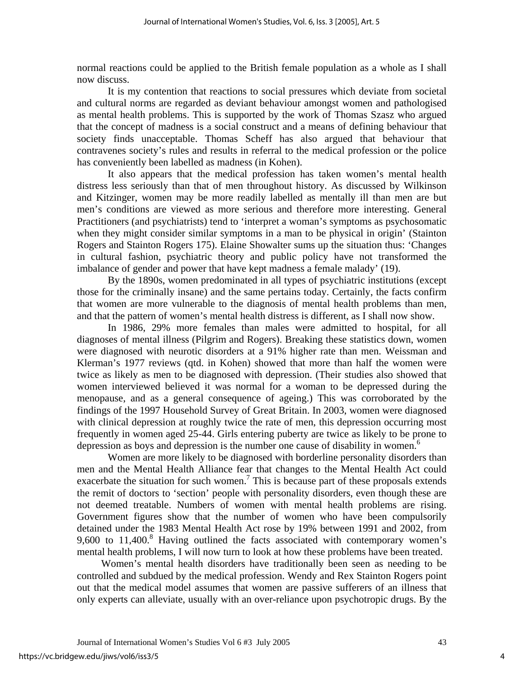normal reactions could be applied to the British female population as a whole as I shall now discuss.

It is my contention that reactions to social pressures which deviate from societal and cultural norms are regarded as deviant behaviour amongst women and pathologised as mental health problems. This is supported by the work of Thomas Szasz who argued that the concept of madness is a social construct and a means of defining behaviour that society finds unacceptable. Thomas Scheff has also argued that behaviour that contravenes society's rules and results in referral to the medical profession or the police has conveniently been labelled as madness (in Kohen).

It also appears that the medical profession has taken women's mental health distress less seriously than that of men throughout history. As discussed by Wilkinson and Kitzinger, women may be more readily labelled as mentally ill than men are but men's conditions are viewed as more serious and therefore more interesting. General Practitioners (and psychiatrists) tend to 'interpret a woman's symptoms as psychosomatic when they might consider similar symptoms in a man to be physical in origin' (Stainton Rogers and Stainton Rogers 175). Elaine Showalter sums up the situation thus: 'Changes in cultural fashion, psychiatric theory and public policy have not transformed the imbalance of gender and power that have kept madness a female malady' (19).

By the 1890s, women predominated in all types of psychiatric institutions (except those for the criminally insane) and the same pertains today. Certainly, the facts confirm that women are more vulnerable to the diagnosis of mental health problems than men, and that the pattern of women's mental health distress is different, as I shall now show.

In 1986, 29% more females than males were admitted to hospital, for all diagnoses of mental illness (Pilgrim and Rogers). Breaking these statistics down, women were diagnosed with neurotic disorders at a 91% higher rate than men. Weissman and Klerman's 1977 reviews (qtd. in Kohen) showed that more than half the women were twice as likely as men to be diagnosed with depression. (Their studies also showed that women interviewed believed it was normal for a woman to be depressed during the menopause, and as a general consequence of ageing.) This was corroborated by the findings of the 1997 Household Survey of Great Britain. In 2003, women were diagnosed with clinical depression at roughly twice the rate of men, this depression occurring most frequently in women aged 25-44. Girls entering puberty are twice as likely to be prone to depression as boys and depression is the number one cause of disability in women.<sup>6</sup>

Women are more likely to be diagnosed with borderline personality disorders than men and the Mental Health Alliance fear that changes to the Mental Health Act could exacerbate the situation for such women.<sup>7</sup> This is because part of these proposals extends the remit of doctors to 'section' people with personality disorders, even though these are not deemed treatable. Numbers of women with mental health problems are rising. Government figures show that the number of women who have been compulsorily detained under the 1983 Mental Health Act rose by 19% between 1991 and 2002, from 9,600 to  $11,400$ .<sup>[8](#page-10-7)</sup> Having outlined the facts associated with contemporary women's mental health problems, I will now turn to look at how these problems have been treated.

Women's mental health disorders have traditionally been seen as needing to be controlled and subdued by the medical profession. Wendy and Rex Stainton Rogers point out that the medical model assumes that women are passive sufferers of an illness that only experts can alleviate, usually with an over-reliance upon psychotropic drugs. By the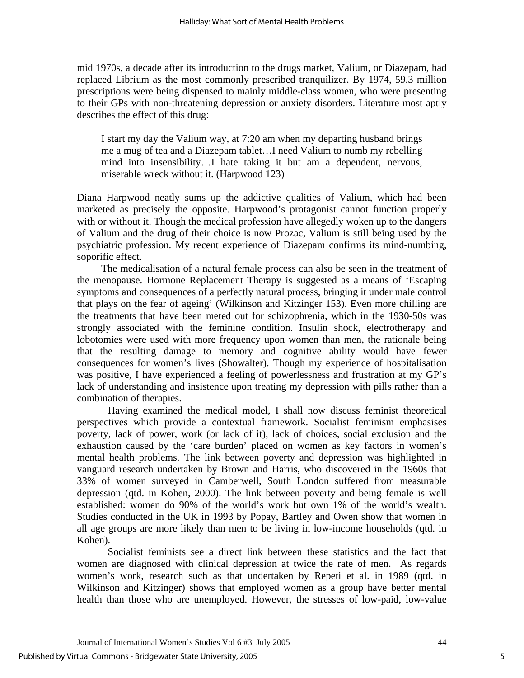mid 1970s, a decade after its introduction to the drugs market, Valium, or Diazepam, had replaced Librium as the most commonly prescribed tranquilizer. By 1974, 59.3 million prescriptions were being dispensed to mainly middle-class women, who were presenting to their GPs with non-threatening depression or anxiety disorders. Literature most aptly describes the effect of this drug:

I start my day the Valium way, at 7:20 am when my departing husband brings me a mug of tea and a Diazepam tablet…I need Valium to numb my rebelling mind into insensibility…I hate taking it but am a dependent, nervous, miserable wreck without it. (Harpwood 123)

Diana Harpwood neatly sums up the addictive qualities of Valium, which had been marketed as precisely the opposite. Harpwood's protagonist cannot function properly with or without it. Though the medical profession have allegedly woken up to the dangers of Valium and the drug of their choice is now Prozac, Valium is still being used by the psychiatric profession. My recent experience of Diazepam confirms its mind-numbing, soporific effect.

The medicalisation of a natural female process can also be seen in the treatment of the menopause. Hormone Replacement Therapy is suggested as a means of 'Escaping symptoms and consequences of a perfectly natural process, bringing it under male control that plays on the fear of ageing' (Wilkinson and Kitzinger 153). Even more chilling are the treatments that have been meted out for schizophrenia, which in the 1930-50s was strongly associated with the feminine condition. Insulin shock, electrotherapy and lobotomies were used with more frequency upon women than men, the rationale being that the resulting damage to memory and cognitive ability would have fewer consequences for women's lives (Showalter). Though my experience of hospitalisation was positive, I have experienced a feeling of powerlessness and frustration at my GP's lack of understanding and insistence upon treating my depression with pills rather than a combination of therapies.

Having examined the medical model, I shall now discuss feminist theoretical perspectives which provide a contextual framework. Socialist feminism emphasises poverty, lack of power, work (or lack of it), lack of choices, social exclusion and the exhaustion caused by the 'care burden' placed on women as key factors in women's mental health problems. The link between poverty and depression was highlighted in vanguard research undertaken by Brown and Harris, who discovered in the 1960s that 33% of women surveyed in Camberwell, South London suffered from measurable depression (qtd. in Kohen, 2000). The link between poverty and being female is well established: women do 90% of the world's work but own 1% of the world's wealth. Studies conducted in the UK in 1993 by Popay, Bartley and Owen show that women in all age groups are more likely than men to be living in low-income households (qtd. in Kohen).

Socialist feminists see a direct link between these statistics and the fact that women are diagnosed with clinical depression at twice the rate of men. As regards women's work, research such as that undertaken by Repeti et al. in 1989 (qtd. in Wilkinson and Kitzinger) shows that employed women as a group have better mental health than those who are unemployed. However, the stresses of low-paid, low-value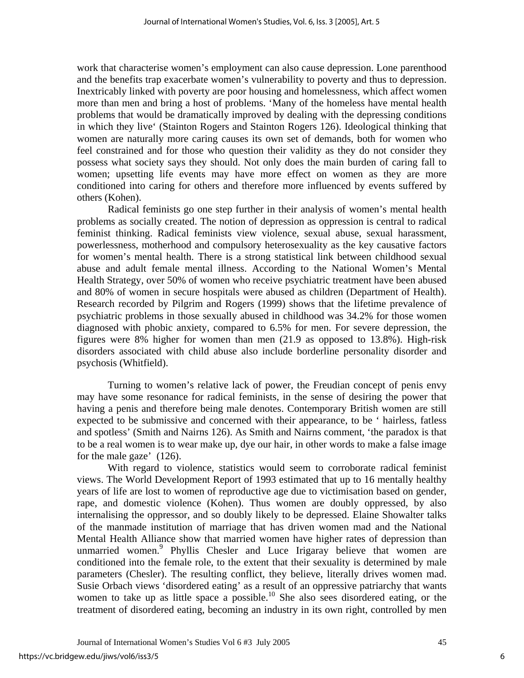work that characterise women's employment can also cause depression. Lone parenthood and the benefits trap exacerbate women's vulnerability to poverty and thus to depression. Inextricably linked with poverty are poor housing and homelessness, which affect women more than men and bring a host of problems. 'Many of the homeless have mental health problems that would be dramatically improved by dealing with the depressing conditions in which they live' (Stainton Rogers and Stainton Rogers 126). Ideological thinking that women are naturally more caring causes its own set of demands, both for women who feel constrained and for those who question their validity as they do not consider they possess what society says they should. Not only does the main burden of caring fall to women; upsetting life events may have more effect on women as they are more conditioned into caring for others and therefore more influenced by events suffered by others (Kohen).

Radical feminists go one step further in their analysis of women's mental health problems as socially created. The notion of depression as oppression is central to radical feminist thinking. Radical feminists view violence, sexual abuse, sexual harassment, powerlessness, motherhood and compulsory heterosexuality as the key causative factors for women's mental health. There is a strong statistical link between childhood sexual abuse and adult female mental illness. According to the National Women's Mental Health Strategy, over 50% of women who receive psychiatric treatment have been abused and 80% of women in secure hospitals were abused as children (Department of Health). Research recorded by Pilgrim and Rogers (1999) shows that the lifetime prevalence of psychiatric problems in those sexually abused in childhood was 34.2% for those women diagnosed with phobic anxiety, compared to 6.5% for men. For severe depression, the figures were 8% higher for women than men (21.9 as opposed to 13.8%). High-risk disorders associated with child abuse also include borderline personality disorder and psychosis (Whitfield).

Turning to women's relative lack of power, the Freudian concept of penis envy may have some resonance for radical feminists, in the sense of desiring the power that having a penis and therefore being male denotes. Contemporary British women are still expected to be submissive and concerned with their appearance, to be ' hairless, fatless and spotless' (Smith and Nairns 126). As Smith and Nairns comment, 'the paradox is that to be a real women is to wear make up, dye our hair, in other words to make a false image for the male gaze' (126).

With regard to violence, statistics would seem to corroborate radical feminist views. The World Development Report of 1993 estimated that up to 16 mentally healthy years of life are lost to women of reproductive age due to victimisation based on gender, rape, and domestic violence (Kohen). Thus women are doubly oppressed, by also internalising the oppressor, and so doubly likely to be depressed. Elaine Showalter talks of the manmade institution of marriage that has driven women mad and the National Mental Health Alliance show that married women have higher rates of depression than unmarried women.<sup>9</sup> Phyllis Chesler and Luce Irigaray believe that women are conditioned into the female role, to the extent that their sexuality is determined by male parameters (Chesler). The resulting conflict, they believe, literally drives women mad. Susie Orbach views 'disordered eating' as a result of an oppressive patriarchy that wants women to take up as little space a possible.<sup>10</sup> She also sees disordered eating, or the treatment of disordered eating, becoming an industry in its own right, controlled by men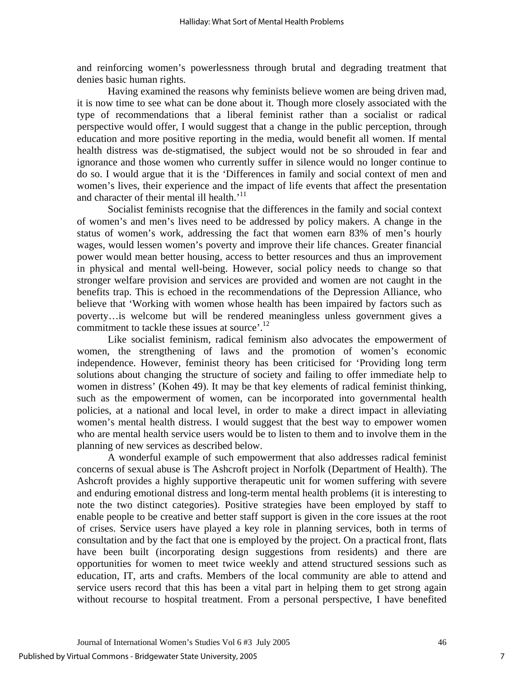and reinforcing women's powerlessness through brutal and degrading treatment that denies basic human rights.

Having examined the reasons why feminists believe women are being driven mad, it is now time to see what can be done about it. Though more closely associated with the type of recommendations that a liberal feminist rather than a socialist or radical perspective would offer, I would suggest that a change in the public perception, through education and more positive reporting in the media, would benefit all women. If mental health distress was de-stigmatised, the subject would not be so shrouded in fear and ignorance and those women who currently suffer in silence would no longer continue to do so. I would argue that it is the 'Differences in family and social context of men and women's lives, their experience and the impact of life events that affect the presentation and character of their mental ill health.<sup>'11</sup>

Socialist feminists recognise that the differences in the family and social context of women's and men's lives need to be addressed by policy makers. A change in the status of women's work, addressing the fact that women earn 83% of men's hourly wages, would lessen women's poverty and improve their life chances. Greater financial power would mean better housing, access to better resources and thus an improvement in physical and mental well-being. However, social policy needs to change so that stronger welfare provision and services are provided and women are not caught in the benefits trap. This is echoed in the recommendations of the Depression Alliance, who believe that 'Working with women whose health has been impaired by factors such as poverty…is welcome but will be rendered meaningless unless government gives a commitment to tackle these issues at source'.<sup>12</sup>

Like socialist feminism, radical feminism also advocates the empowerment of women, the strengthening of laws and the promotion of women's economic independence. However, feminist theory has been criticised for 'Providing long term solutions about changing the structure of society and failing to offer immediate help to women in distress' (Kohen 49). It may be that key elements of radical feminist thinking, such as the empowerment of women, can be incorporated into governmental health policies, at a national and local level, in order to make a direct impact in alleviating women's mental health distress. I would suggest that the best way to empower women who are mental health service users would be to listen to them and to involve them in the planning of new services as described below.

A wonderful example of such empowerment that also addresses radical feminist concerns of sexual abuse is The Ashcroft project in Norfolk (Department of Health). The Ashcroft provides a highly supportive therapeutic unit for women suffering with severe and enduring emotional distress and long-term mental health problems (it is interesting to note the two distinct categories). Positive strategies have been employed by staff to enable people to be creative and better staff support is given in the core issues at the root of crises. Service users have played a key role in planning services, both in terms of consultation and by the fact that one is employed by the project. On a practical front, flats have been built (incorporating design suggestions from residents) and there are opportunities for women to meet twice weekly and attend structured sessions such as education, IT, arts and crafts. Members of the local community are able to attend and service users record that this has been a vital part in helping them to get strong again without recourse to hospital treatment. From a personal perspective, I have benefited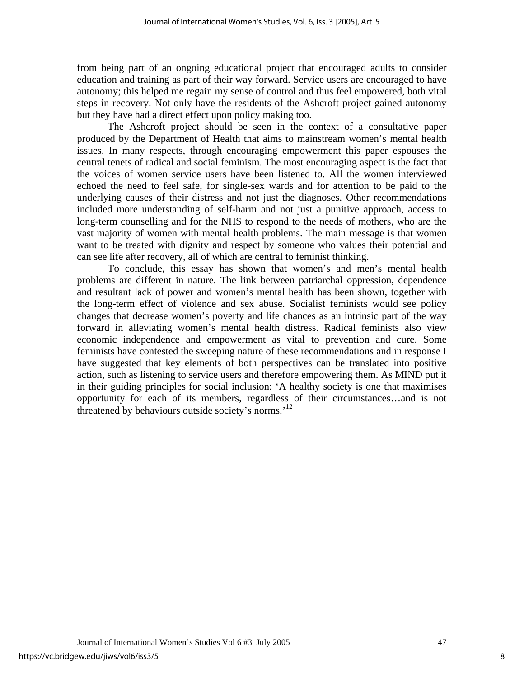from being part of an ongoing educational project that encouraged adults to consider education and training as part of their way forward. Service users are encouraged to have autonomy; this helped me regain my sense of control and thus feel empowered, both vital steps in recovery. Not only have the residents of the Ashcroft project gained autonomy but they have had a direct effect upon policy making too.

The Ashcroft project should be seen in the context of a consultative paper produced by the Department of Health that aims to mainstream women's mental health issues. In many respects, through encouraging empowerment this paper espouses the central tenets of radical and social feminism. The most encouraging aspect is the fact that the voices of women service users have been listened to. All the women interviewed echoed the need to feel safe, for single-sex wards and for attention to be paid to the underlying causes of their distress and not just the diagnoses. Other recommendations included more understanding of self-harm and not just a punitive approach, access to long-term counselling and for the NHS to respond to the needs of mothers, who are the vast majority of women with mental health problems. The main message is that women want to be treated with dignity and respect by someone who values their potential and can see life after recovery, all of which are central to feminist thinking.

To conclude, this essay has shown that women's and men's mental health problems are different in nature. The link between patriarchal oppression, dependence and resultant lack of power and women's mental health has been shown, together with the long-term effect of violence and sex abuse. Socialist feminists would see policy changes that decrease women's poverty and life chances as an intrinsic part of the way forward in alleviating women's mental health distress. Radical feminists also view economic independence and empowerment as vital to prevention and cure. Some feminists have contested the sweeping nature of these recommendations and in response I have suggested that key elements of both perspectives can be translated into positive action, such as listening to service users and therefore empowering them. As MIND put it in their guiding principles for social inclusion: 'A healthy society is one that maximises opportunity for each of its members, regardless of their circumstances…and is not threatened by behaviours outside society's norms.<sup>'12</sup>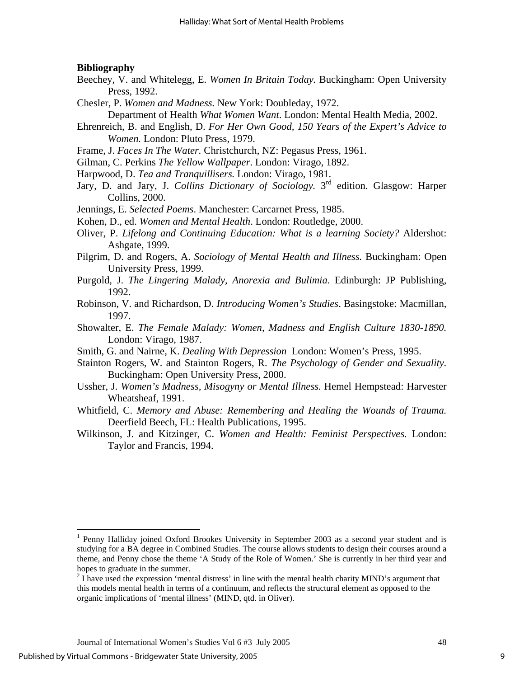#### **Bibliography**

- Beechey, V. and Whitelegg, E. *Women In Britain Today.* Buckingham: Open University Press, 1992.
- Chesler, P. *Women and Madness.* New York: Doubleday, 1972.
	- Department of Health *What Women Want*. London: Mental Health Media, 2002.
- Ehrenreich, B. and English, D. *For Her Own Good, 150 Years of the Expert's Advice to Women.* London: Pluto Press, 1979.
- Frame, J. *Faces In The Water.* Christchurch, NZ: Pegasus Press, 1961.
- Gilman, C. Perkins *The Yellow Wallpaper*. London: Virago, 1892.
- Harpwood, D. *Tea and Tranquillisers.* London: Virago, 1981.
- Jary, D. and Jary, J. *Collins Dictionary of Sociology.* 3rd edition. Glasgow: Harper Collins, 2000.
- Jennings, E. *Selected Poems*. Manchester: Carcarnet Press, 1985.
- Kohen, D., ed. *Women and Mental Health*. London: Routledge, 2000.
- Oliver, P. *Lifelong and Continuing Education: What is a learning Society?* Aldershot: Ashgate, 1999.
- Pilgrim, D. and Rogers, A. *Sociology of Mental Health and Illness.* Buckingham: Open University Press, 1999.
- Purgold, J. *The Lingering Malady, Anorexia and Bulimia*. Edinburgh: JP Publishing, 1992.
- Robinson, V. and Richardson, D. *Introducing Women's Studies*. Basingstoke: Macmillan, 1997.
- Showalter, E. *The Female Malady: Women, Madness and English Culture 1830-1890.* London: Virago, 1987.
- Smith, G. and Nairne, K. *Dealing With Depression* London: Women's Press, 1995.
- Stainton Rogers, W. and Stainton Rogers, R. *The Psychology of Gender and Sexuality.*  Buckingham: Open University Press, 2000.
- Ussher, J. *Women's Madness, Misogyny or Mental Illness.* Hemel Hempstead: Harvester Wheatsheaf, 1991.
- Whitfield, C. *Memory and Abuse: Remembering and Healing the Wounds of Trauma.*  Deerfield Beech, FL: Health Publications, 1995.
- Wilkinson, J. and Kitzinger, C. *Women and Health: Feminist Perspectives.* London: Taylor and Francis, 1994.

 $\overline{a}$ 

<sup>&</sup>lt;sup>1</sup> Penny Halliday joined Oxford Brookes University in September 2003 as a second year student and is studying for a BA degree in Combined Studies. The course allows students to design their courses around a theme, and Penny chose the theme 'A Study of the Role of Women.' She is currently in her third year and hopes to graduate in the summer.

 $2^{2}$  I have used the expression 'mental distress' in line with the mental health charity MIND's argument that this models mental health in terms of a continuum, and reflects the structural element as opposed to the organic implications of 'mental illness' (MIND, qtd. in Oliver).